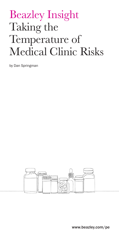# Beazley Insight Taking the Temperature of Medical Clinic Risks

by Dan Springman



www.beazley.com/pe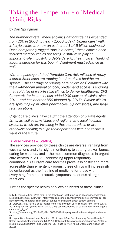## Taking the Temperature of Medical Clinic Risks

by Dan Springman

*The number of retail medical clinics nationwide has expanded from 200 in 2006, to nearly 1,600 today.1 Urgent care "walk in" style clinics are now an estimated \$14.5 billion business.2 Once derogatorily tagged "doc-in-a-boxes," these conveniencefocused medical clinics are rising in stature to play an important role in post-Affordable Care Act healthcare. Thinking about insurance for this booming segment must advance as well.*

*With the passage of the Affordable Care Act, millions of newly insured Americans are tapping into America's healthcare*  system. The shortage of primary care physicians<sup>3</sup> coupled with *the all-American appeal of local, on-demand access is spurring the rapid rise of walk-in style clinics to deliver healthcare. CVS Caremark, for instance, has added 200 new retail clinics since 2011, and has another 850 planned by 2017.4 Similar clinics are sprouting up in other pharmacies, big box stores, and large retail locations.*

*Urgent care clinics have caught the attention of private equity firms, as well as physicians and regional and local hospital systems, which are investing in these enterprises or are otherwise seeking to align their operations with healthcare's wave of the future.*

#### Diverse Services & Staffing

The services provided by these clinics are diverse, ranging from vaccinations and vital signs monitoring, to setting broken bones, caring for wounds, and -- the most common diagnoses in urgent care centers in 2012 -- addressing upper respiratory conditions.5 As urgent care facilities prove less costly and more accessible than emergency rooms, these clinics will increasingly be embraced as the first-line of medicine for those with everything from heart attack symptoms to serious allergic reactions.

Just as the specific health services delivered at these clinics

<sup>1. &</sup>amp; 4. Zamosky, Lisa, What retail clinic growth can teach physicians about patient demand, Medical Economics, 1/8/2014. http://medicaleconomics.modernmedicine.com/medical-economics/news/what-retail-clinic-growth-can-teach-physicians-about-patient-demand

<sup>2.</sup> Creswell, Julie, Race is on to Provide from Rise of Urgent Care, The New York Times, July 9, 2014. http://www.nytimes.com/2014/07/10/business/race-is-on-to-profit-from-rise-of-urgentcare.html? & r=0

<sup>3.</sup> http://www.npr.org/2012/08/07/158370069/the-prognosis-for-the-shortage-in-primarycare

<sup>5.</sup> Urgent Care Association of America, "2012 Urgent Care Benchmarking Survey Results." Urgent Care Industry Information Kit. 2013. Online at http://www.ucaoa.org/docs/urgentcaremediakit 2013.pdf (from Rodak, Sabrina, 25 Things to Know About Urgent Care, August 19, 2013)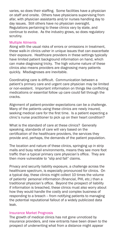varies, so does their staffing. Some facilities have a physician on staff and onsite. Others have physicians supervising from afar, with physician assistants and/or nurses handling day to day issues. Still others have no physician oversight. Regulations pertaining to these clinics vary by state, and continue to evolve. As the industry grows, so does regulatory scrutiny.

#### Multiple Ailments

Along with the usual risks of errors or omissions in treatment, these walk-in clinics usher in unique issues that can exacerbate their exposure. Healthcare providers in these settings typically have limited patient background information on hand, which can make diagnosing tricky. The high volume nature of these clinics also means providers are diagnosing many patients quickly. Misdiagnoses are inevitable.

Coordinating care is difficult. Communication between a patient's primary care and urgent care physician may be limited or non-existent. Important information on things like conflicting medications or essential follow up care could fall through the cracks.

Alignment of patient-provider expectations can be a challenge. Many of the patients using these clinics are newly insured, seeking medical care for the first time. Is a patient expecting a clinic's nurse practitioner to pick up on their heart condition?

What is the standard of care at these clinics? Generally speaking, standards of care will vary based on the certification of the healthcare providers, the services they provide and, perhaps, the demands of the patient population.

The location and nature of these clinics, springing up in strip malls and busy retail environments, means they see more foot traffic than a typical primary care physician's office. They are then more vulnerable to "slip and fall" claims.

Privacy and security liability exposure, a challenge across the healthcare spectrum, is especially pronounced for clinics. On a typical day, these clinics might collect 10 times the volume of patients' personal information (financial, PHI, etc.) than a traditional physician's office. Beyond the prospect of liability if information is breached, these clinics must also worry about how they would handle the costly and complex business of responding to a breach -- from notifying patients to managing the potential reputational fallout of a widely publicized data leak.

#### Insurance Market Prognosis

The growth of medical clinics has not gone unnoticed by insurance providers, and new entrants have been drawn to the prospect of underwriting what from a distance might appear